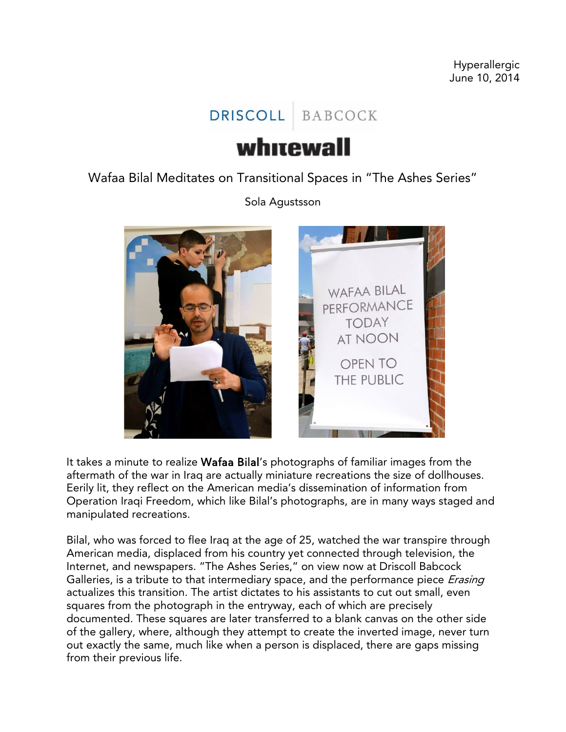## DRISCOLL BABCOCK

## whitewall

Wafaa Bilal Meditates on Transitional Spaces in "The Ashes Series"

Sola Agustsson



It takes a minute to realize Wafaa Bilal's photographs of familiar images from the aftermath of the war in Iraq are actually miniature recreations the size of dollhouses. Eerily lit, they reflect on the American media's dissemination of information from Operation Iraqi Freedom, which like Bilal's photographs, are in many ways staged and manipulated recreations.

Bilal, who was forced to flee Iraq at the age of 25, watched the war transpire through American media, displaced from his country yet connected through television, the Internet, and newspapers. "The Ashes Series," on view now at Driscoll Babcock Galleries, is a tribute to that intermediary space, and the performance piece *Erasing* actualizes this transition. The artist dictates to his assistants to cut out small, even squares from the photograph in the entryway, each of which are precisely documented. These squares are later transferred to a blank canvas on the other side of the gallery, where, although they attempt to create the inverted image, never turn out exactly the same, much like when a person is displaced, there are gaps missing from their previous life.